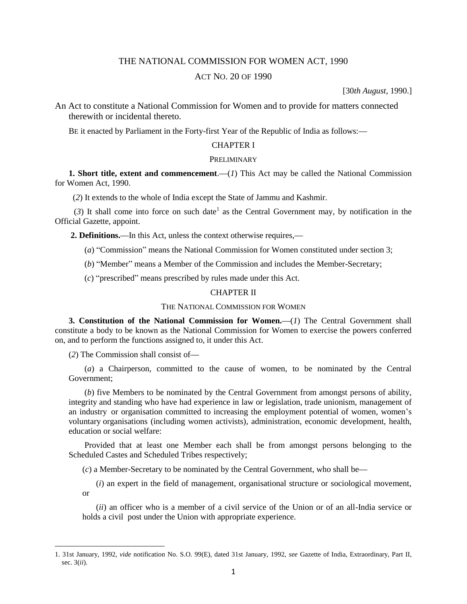# THE NATIONAL COMMISSION FOR WOMEN ACT, 1990

# ACT NO. 20 OF 1990

[30*th August*, 1990.]

An Act to constitute a National Commission for Women and to provide for matters connected therewith or incidental thereto.

BE it enacted by Parliament in the Forty-first Year of the Republic of India as follows:**—**

## CHAPTER I

# **PRELIMINARY**

**1. Short title, extent and commencement**.**—**(*1*) This Act may be called the National Commission for Women Act, 1990.

(*2*) It extends to the whole of India except the State of Jammu and Kashmir.

 $(3)$  It shall come into force on such date<sup>1</sup> as the Central Government may, by notification in the Official Gazette, appoint.

**2. Definitions.—**In this Act, unless the context otherwise requires,**—**

(*a*) "Commission" means the National Commission for Women constituted under section 3;

(*b*) "Member" means a Member of the Commission and includes the Member-Secretary;

(*c*) "prescribed" means prescribed by rules made under this Act.

## CHAPTER II

## THE NATIONAL COMMISSION FOR WOMEN

**3. Constitution of the National Commission for Women.—**(*1*) The Central Government shall constitute a body to be known as the National Commission for Women to exercise the powers conferred on, and to perform the functions assigned to, it under this Act.

(*2*) The Commission shall consist of**—**

 $\overline{a}$ 

(*a*) a Chairperson, committed to the cause of women, to be nominated by the Central Government;

(*b*) five Members to be nominated by the Central Government from amongst persons of ability, integrity and standing who have had experience in law or legislation, trade unionism, management of an industry or organisation committed to increasing the employment potential of women, women's voluntary organisations (including women activists), administration, economic development, health, education or social welfare:

Provided that at least one Member each shall be from amongst persons belonging to the Scheduled Castes and Scheduled Tribes respectively;

(*c*) a Member-Secretary to be nominated by the Central Government, who shall be**—**

(*i*) an expert in the field of management, organisational structure or sociological movement, or

(*ii*) an officer who is a member of a civil service of the Union or of an all-India service or holds a civil post under the Union with appropriate experience.

<sup>1. 31</sup>st January, 1992, *vide* notification No. S.O. 99(E), dated 31st January, 1992, *see* Gazette of India, Extraordinary, Part II, sec. 3(*ii*).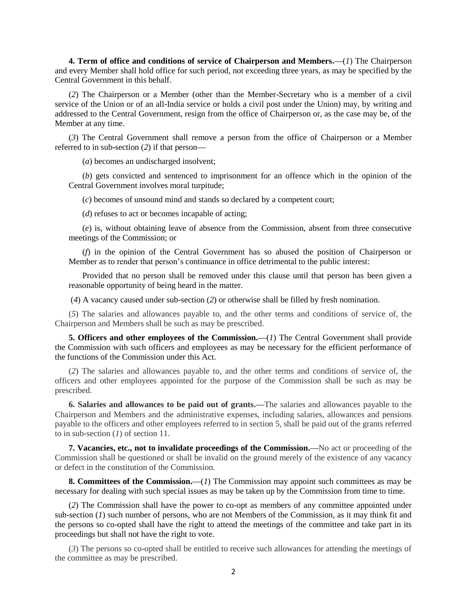**4. Term of office and conditions of service of Chairperson and Members.—**(*1*) The Chairperson and every Member shall hold office for such period, not exceeding three years, as may be specified by the Central Government in this behalf.

(*2*) The Chairperson or a Member (other than the Member-Secretary who is a member of a civil service of the Union or of an all-India service or holds a civil post under the Union) may, by writing and addressed to the Central Government, resign from the office of Chairperson or, as the case may be, of the Member at any time.

(*3*) The Central Government shall remove a person from the office of Chairperson or a Member referred to in sub-section (*2*) if that person**—**

(*a*) becomes an undischarged insolvent;

(*b*) gets convicted and sentenced to imprisonment for an offence which in the opinion of the Central Government involves moral turpitude;

(*c*) becomes of unsound mind and stands so declared by a competent court;

(*d*) refuses to act or becomes incapable of acting;

(*e*) is, without obtaining leave of absence from the Commission, absent from three consecutive meetings of the Commission; or

(*f*) in the opinion of the Central Government has so abused the position of Chairperson or Member as to render that person's continuance in office detrimental to the public interest:

Provided that no person shall be removed under this clause until that person has been given a reasonable opportunity of being heard in the matter.

(*4*) A vacancy caused under sub-section (*2*) or otherwise shall be filled by fresh nomination.

(*5*) The salaries and allowances payable to, and the other terms and conditions of service of, the Chairperson and Members shall be such as may be prescribed.

**5. Officers and other employees of the Commission.—**(*1*) The Central Government shall provide the Commission with such officers and employees as may be necessary for the efficient performance of the functions of the Commission under this Act.

(*2*) The salaries and allowances payable to, and the other terms and conditions of service of, the officers and other employees appointed for the purpose of the Commission shall be such as may be prescribed.

**6. Salaries and allowances to be paid out of grants.—**The salaries and allowances payable to the Chairperson and Members and the administrative expenses, including salaries, allowances and pensions payable to the officers and other employees referred to in section 5, shall be paid out of the grants referred to in sub-section (*1*) of section 11.

**7. Vacancies, etc., not to invalidate proceedings of the Commission.—**No act or proceeding of the Commission shall be questioned or shall be invalid on the ground merely of the existence of any vacancy or defect in the constitution of the Commission.

**8. Committees of the Commission.—**(*1*) The Commission may appoint such committees as may be necessary for dealing with such special issues as may be taken up by the Commission from time to time.

(*2*) The Commission shall have the power to co-opt as members of any committee appointed under sub-section (*1*) such number of persons, who are not Members of the Commission, as it may think fit and the persons so co-opted shall have the right to attend the meetings of the committee and take part in its proceedings but shall not have the right to vote.

(*3*) The persons so co-opted shall be entitled to receive such allowances for attending the meetings of the committee as may be prescribed.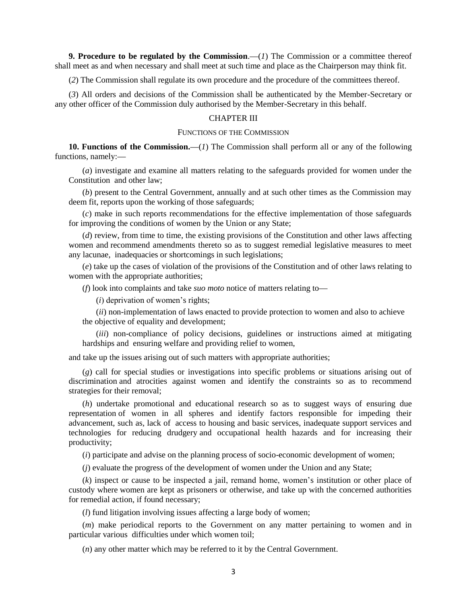**9. Procedure to be regulated by the Commission**.**—**(*1*) The Commission or a committee thereof shall meet as and when necessary and shall meet at such time and place as the Chairperson may think fit.

(*2*) The Commission shall regulate its own procedure and the procedure of the committees thereof.

(*3*) All orders and decisions of the Commission shall be authenticated by the Member-Secretary or any other officer of the Commission duly authorised by the Member-Secretary in this behalf.

# CHAPTER III

#### FUNCTIONS OF THE COMMISSION

**10. Functions of the Commission.—**(*1*) The Commission shall perform all or any of the following functions, namely:**—**

(*a*) investigate and examine all matters relating to the safeguards provided for women under the Constitution and other law;

(*b*) present to the Central Government, annually and at such other times as the Commission may deem fit, reports upon the working of those safeguards;

(*c*) make in such reports recommendations for the effective implementation of those safeguards for improving the conditions of women by the Union or any State;

(*d*) review, from time to time, the existing provisions of the Constitution and other laws affecting women and recommend amendments thereto so as to suggest remedial legislative measures to meet any lacunae, inadequacies or shortcomings in such legislations;

(*e*) take up the cases of violation of the provisions of the Constitution and of other laws relating to women with the appropriate authorities;

(*f*) look into complaints and take *suo moto* notice of matters relating to**—**

(*i*) deprivation of women's rights;

(*ii*) non-implementation of laws enacted to provide protection to women and also to achieve the objective of equality and development;

(*iii*) non-compliance of policy decisions, guidelines or instructions aimed at mitigating hardships and ensuring welfare and providing relief to women,

and take up the issues arising out of such matters with appropriate authorities;

(*g*) call for special studies or investigations into specific problems or situations arising out of discrimination and atrocities against women and identify the constraints so as to recommend strategies for their removal;

(*h*) undertake promotional and educational research so as to suggest ways of ensuring due representation of women in all spheres and identify factors responsible for impeding their advancement, such as, lack of access to housing and basic services, inadequate support services and technologies for reducing drudgery and occupational health hazards and for increasing their productivity;

(*i*) participate and advise on the planning process of socio-economic development of women;

(*j*) evaluate the progress of the development of women under the Union and any State;

(*k*) inspect or cause to be inspected a jail, remand home, women's institution or other place of custody where women are kept as prisoners or otherwise, and take up with the concerned authorities for remedial action, if found necessary;

(*l*) fund litigation involving issues affecting a large body of women;

(*m*) make periodical reports to the Government on any matter pertaining to women and in particular various difficulties under which women toil;

(*n*) any other matter which may be referred to it by the Central Government.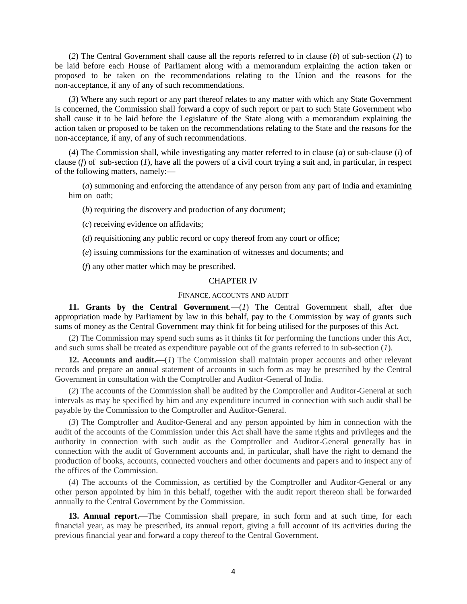(*2*) The Central Government shall cause all the reports referred to in clause (*b*) of sub-section (*1*) to be laid before each House of Parliament along with a memorandum explaining the action taken or proposed to be taken on the recommendations relating to the Union and the reasons for the non-acceptance, if any of any of such recommendations.

(*3*) Where any such report or any part thereof relates to any matter with which any State Government is concerned, the Commission shall forward a copy of such report or part to such State Government who shall cause it to be laid before the Legislature of the State along with a memorandum explaining the action taken or proposed to be taken on the recommendations relating to the State and the reasons for the non-acceptance, if any, of any of such recommendations.

(*4*) The Commission shall, while investigating any matter referred to in clause (*a*) or sub-clause (*i*) of clause ( $f$ ) of sub-section  $(I)$ , have all the powers of a civil court trying a suit and, in particular, in respect of the following matters, namely:**—**

(*a*) summoning and enforcing the attendance of any person from any part of India and examining him on oath;

(*b*) requiring the discovery and production of any document;

(*c*) receiving evidence on affidavits;

(*d*) requisitioning any public record or copy thereof from any court or office;

(*e*) issuing commissions for the examination of witnesses and documents; and

(*f*) any other matter which may be prescribed.

# CHAPTER IV

## FINANCE, ACCOUNTS AND AUDIT

**11. Grants by the Central Government**.**—**(*1*) The Central Government shall, after due appropriation made by Parliament by law in this behalf, pay to the Commission by way of grants such sums of money as the Central Government may think fit for being utilised for the purposes of this Act.

(*2*) The Commission may spend such sums as it thinks fit for performing the functions under this Act, and such sums shall be treated as expenditure payable out of the grants referred to in sub-section (*1*).

**12. Accounts and audit.—**(*1*) The Commission shall maintain proper accounts and other relevant records and prepare an annual statement of accounts in such form as may be prescribed by the Central Government in consultation with the Comptroller and Auditor-General of India.

(*2*) The accounts of the Commission shall be audited by the Comptroller and Auditor-General at such intervals as may be specified by him and any expenditure incurred in connection with such audit shall be payable by the Commission to the Comptroller and Auditor-General.

(*3*) The Comptroller and Auditor-General and any person appointed by him in connection with the audit of the accounts of the Commission under this Act shall have the same rights and privileges and the authority in connection with such audit as the Comptroller and Auditor-General generally has in connection with the audit of Government accounts and, in particular, shall have the right to demand the production of books, accounts, connected vouchers and other documents and papers and to inspect any of the offices of the Commission.

(*4*) The accounts of the Commission, as certified by the Comptroller and Auditor-General or any other person appointed by him in this behalf, together with the audit report thereon shall be forwarded annually to the Central Government by the Commission.

**13. Annual report.—**The Commission shall prepare, in such form and at such time, for each financial year, as may be prescribed, its annual report, giving a full account of its activities during the previous financial year and forward a copy thereof to the Central Government.